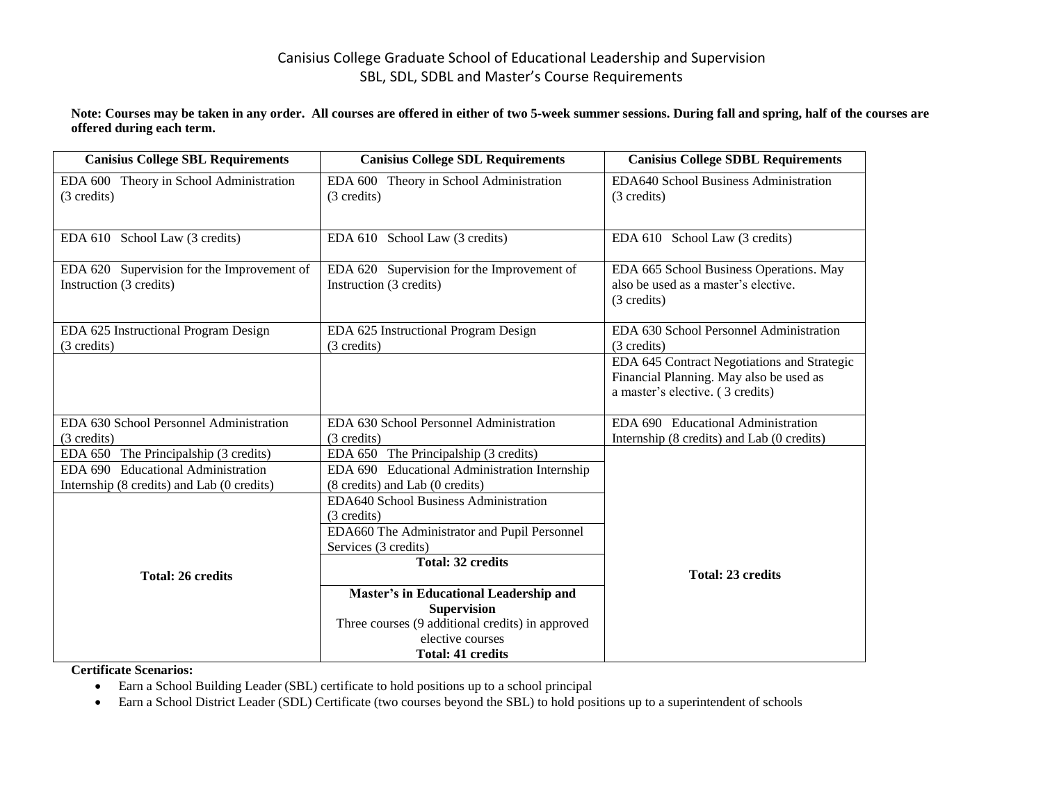## Canisius College Graduate School of Educational Leadership and Supervision SBL, SDL, SDBL and Master's Course Requirements

**Note: Courses may be taken in any order. All courses are offered in either of two 5-week summer sessions. During fall and spring, half of the courses are offered during each term.**

| <b>Canisius College SBL Requirements</b>   | <b>Canisius College SDL Requirements</b>         | <b>Canisius College SDBL Requirements</b>           |
|--------------------------------------------|--------------------------------------------------|-----------------------------------------------------|
| EDA 600 Theory in School Administration    | EDA 600 Theory in School Administration          | EDA640 School Business Administration               |
| (3 credits)                                | (3 credits)                                      | (3 credits)                                         |
|                                            |                                                  |                                                     |
| EDA 610 School Law (3 credits)             | EDA 610 School Law (3 credits)                   | EDA 610 School Law (3 credits)                      |
|                                            |                                                  |                                                     |
| EDA 620 Supervision for the Improvement of | EDA 620 Supervision for the Improvement of       | EDA 665 School Business Operations. May             |
| Instruction (3 credits)                    | Instruction (3 credits)                          | also be used as a master's elective.<br>(3 credits) |
|                                            |                                                  |                                                     |
| EDA 625 Instructional Program Design       | EDA 625 Instructional Program Design             | EDA 630 School Personnel Administration             |
| (3 credits)                                | (3 credits)                                      | (3 credits)                                         |
|                                            |                                                  | EDA 645 Contract Negotiations and Strategic         |
|                                            |                                                  | Financial Planning. May also be used as             |
|                                            |                                                  | a master's elective. (3 credits)                    |
| EDA 630 School Personnel Administration    | EDA 630 School Personnel Administration          | EDA 690 Educational Administration                  |
| (3 credits)                                | (3 credits)                                      | Internship (8 credits) and Lab (0 credits)          |
| EDA 650 The Principalship (3 credits)      | EDA 650 The Principalship (3 credits)            |                                                     |
| EDA 690 Educational Administration         | EDA 690 Educational Administration Internship    |                                                     |
| Internship (8 credits) and Lab (0 credits) | (8 credits) and Lab (0 credits)                  |                                                     |
|                                            | EDA640 School Business Administration            |                                                     |
|                                            | (3 credits)                                      |                                                     |
|                                            | EDA660 The Administrator and Pupil Personnel     |                                                     |
|                                            | Services (3 credits)                             |                                                     |
| <b>Total: 26 credits</b>                   | <b>Total: 32 credits</b>                         | <b>Total: 23 credits</b>                            |
|                                            | Master's in Educational Leadership and           |                                                     |
|                                            | <b>Supervision</b>                               |                                                     |
|                                            | Three courses (9 additional credits) in approved |                                                     |
|                                            | elective courses                                 |                                                     |
|                                            | <b>Total: 41 credits</b>                         |                                                     |

**Certificate Scenarios:**

- Earn a School Building Leader (SBL) certificate to hold positions up to a school principal
- Earn a School District Leader (SDL) Certificate (two courses beyond the SBL) to hold positions up to a superintendent of schools